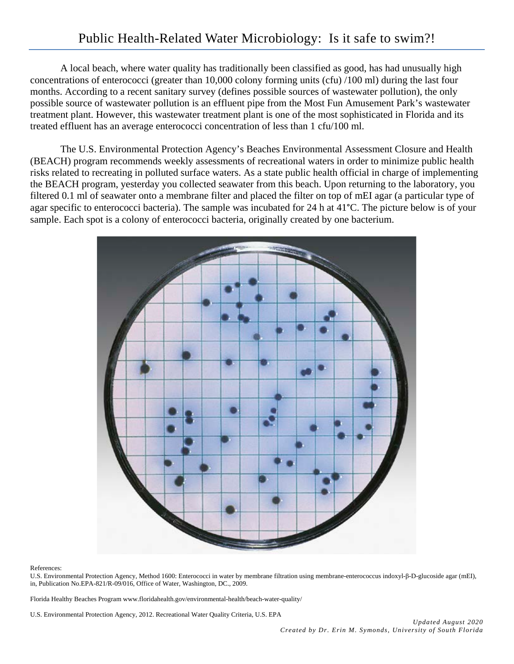A local beach, where water quality has traditionally been classified as good, has had unusually high concentrations of enterococci (greater than 10,000 colony forming units (cfu) /100 ml) during the last four months. According to a recent sanitary survey (defines possible sources of wastewater pollution), the only possible source of wastewater pollution is an effluent pipe from the Most Fun Amusement Park's wastewater treatment plant. However, this wastewater treatment plant is one of the most sophisticated in Florida and its treated effluent has an average enterococci concentration of less than 1 cfu/100 ml.

The U.S. Environmental Protection Agency's Beaches Environmental Assessment Closure and Health (BEACH) program recommends weekly assessments of recreational waters in order to minimize public health risks related to recreating in polluted surface waters. As a state public health official in charge of implementing the BEACH program, yesterday you collected seawater from this beach. Upon returning to the laboratory, you filtered 0.1 ml of seawater onto a membrane filter and placed the filter on top of mEI agar (a particular type of agar specific to enterococci bacteria). The sample was incubated for 24 h at 41°C. The picture below is of your sample. Each spot is a colony of enterococci bacteria, originally created by one bacterium.



References:

U.S. Environmental Protection Agency, Method 1600: Enterococci in water by membrane filtration using membrane-enterococcus indoxyl-β-D-glucoside agar (mEI), in, Publication No.EPA-821/R-09/016, Office of Water, Washington, DC., 2009.

Florida Healthy Beaches Program www.floridahealth.gov/environmental-health/beach-water-quality/

U.S. Environmental Protection Agency, 2012. Recreational Water Quality Criteria, U.S. EPA